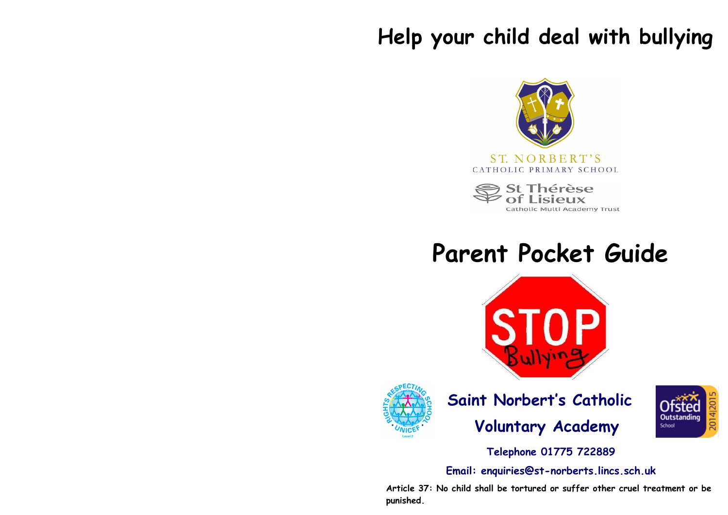# **Help your child deal with bullying**



Thérèse Catholic Multi Academy Trust

# **Parent Pocket Guide**





 **Saint Norbert's Catholic Voluntary Academy**



**Telephone 01775 722889**

**Email: enquiries@st-norberts.lincs.sch.uk**

**Article 37: No child shall be tortured or suffer other cruel treatment or be punished.**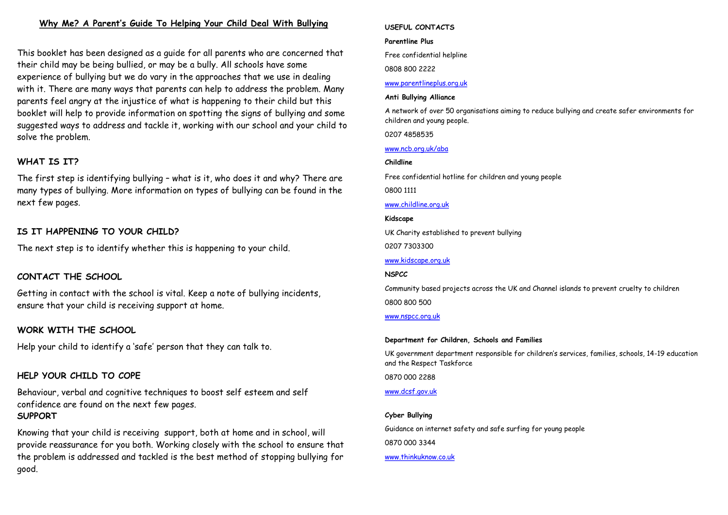## **Why Me? A Parent's Guide To Helping Your Child Deal With Bullying**

This booklet has been designed as a guide for all parents who are concerned that their child may be being bullied, or may be a bully. All schools have some experience of bullying but we do vary in the approaches that we use in dealing with it. There are many ways that parents can help to address the problem. Many parents feel angry at the injustice of what is happening to their child but this booklet will help to provide information on spotting the signs of bullying and some suggested ways to address and tackle it, working with our school and your child to solve the problem.

## **WHAT IS IT?**

The first step is identifying bullying – what is it, who does it and why? There are many types of bullying. More information on types of bullying can be found in the next few pages.

## **IS IT HAPPENING TO YOUR CHILD?**

The next step is to identify whether this is happening to your child.

## **CONTACT THE SCHOOL**

Getting in contact with the school is vital. Keep a note of bullying incidents, ensure that your child is receiving support at home.

### **WORK WITH THE SCHOOL**

Help your child to identify a 'safe' person that they can talk to.

### **HELP YOUR CHILD TO COPE**

Behaviour, verbal and cognitive techniques to boost self esteem and self confidence are found on the next few pages. **SUPPORT**

Knowing that your child is receiving support, both at home and in school, will provide reassurance for you both. Working closely with the school to ensure that the problem is addressed and tackled is the best method of stopping bullying for good.

#### **USEFUL CONTACTS**

#### **Parentline Plus**

Free confidential helpline

0808 800 2222

#### [www.parentlineplus.org.uk](http://www.parentlineplus.org.uk)

#### **Anti Bullying Alliance**

A network of over 50 organisations aiming to reduce bullying and create safer environments for children and young people.

0207 4858535

#### [www.ncb.org.uk/aba](http://www.ncb.org.uk/aba)

#### **Childline**

Free confidential hotline for children and young people

0800 1111

#### [www.childline.org.uk](http://www.childline.org.uk)

#### **Kidscape**

UK Charity established to prevent bullying

0207 7303300

#### [www.kidscape.org.uk](http://www.kidscape.org.uk)

#### **NSPCC**

Community based projects across the UK and Channel islands to prevent cruelty to children 0800 800 500

[www.nspcc.org.uk](http://www.nspcc.org.uk)

#### **Department for Children, Schools and Families**

UK government department responsible for children's services, families, schools, 14-19 education and the Respect Taskforce

0870 000 2288

[www.dcsf.gov.uk](http://www.dcsf.gov.uk)

#### **Cyber Bullying**

Guidance on internet safety and safe surfing for young people 0870 000 3344 [www.thinkuknow.co.uk](http://www.thinkuknow.co.uk)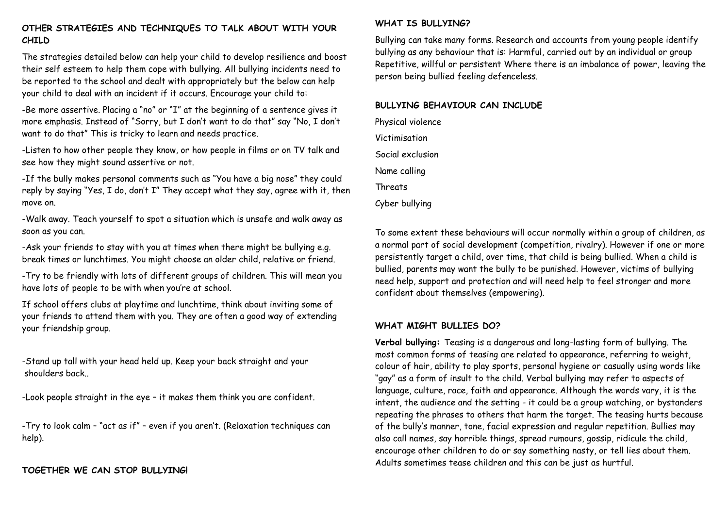## **OTHER STRATEGIES AND TECHNIQUES TO TALK ABOUT WITH YOUR CHILD**

The strategies detailed below can help your child to develop resilience and boost their self esteem to help them cope with bullying. All bullying incidents need to be reported to the school and dealt with appropriately but the below can help your child to deal with an incident if it occurs. Encourage your child to:

-Be more assertive. Placing a "no" or "I" at the beginning of a sentence gives it more emphasis. Instead of "Sorry, but I don't want to do that" say "No, I don't want to do that" This is tricky to learn and needs practice.

-Listen to how other people they know, or how people in films or on TV talk and see how they might sound assertive or not.

-If the bully makes personal comments such as "You have a big nose" they could reply by saying "Yes, I do, don't I" They accept what they say, agree with it, then move on.

-Walk away. Teach yourself to spot a situation which is unsafe and walk away as soon as you can.

-Ask your friends to stay with you at times when there might be bullying e.g. break times or lunchtimes. You might choose an older child, relative or friend.

-Try to be friendly with lots of different groups of children. This will mean you have lots of people to be with when you're at school.

If school offers clubs at playtime and lunchtime, think about inviting some of your friends to attend them with you. They are often a good way of extending your friendship group.

-Stand up tall with your head held up. Keep your back straight and your shoulders back..

-Look people straight in the eye – it makes them think you are confident.

-Try to look calm – "act as if" – even if you aren't. (Relaxation techniques can help).

## **TOGETHER WE CAN STOP BULLYING!**

#### **WHAT IS BULLYING?**

Bullying can take many forms. Research and accounts from young people identify bullying as any behaviour that is: Harmful, carried out by an individual or group Repetitive, willful or persistent Where there is an imbalance of power, leaving the person being bullied feeling defenceless.

#### **BULLYING BEHAVIOUR CAN INCLUDE**

Physical violence Victimisation Social exclusion Name calling **Threats** Cyber bullying

To some extent these behaviours will occur normally within a group of children, as a normal part of social development (competition, rivalry). However if one or more persistently target a child, over time, that child is being bullied. When a child is bullied, parents may want the bully to be punished. However, victims of bullying need help, support and protection and will need help to feel stronger and more confident about themselves (empowering).

### **WHAT MIGHT BULLIES DO?**

**Verbal bullying:** Teasing is a dangerous and long-lasting form of bullying. The most common forms of teasing are related to appearance, referring to weight, colour of hair, ability to play sports, personal hygiene or casually using words like "gay" as a form of insult to the child. Verbal bullying may refer to aspects of language, culture, race, faith and appearance. Although the words vary, it is the intent, the audience and the setting - it could be a group watching, or bystanders repeating the phrases to others that harm the target. The teasing hurts because of the bully's manner, tone, facial expression and regular repetition. Bullies may also call names, say horrible things, spread rumours, gossip, ridicule the child, encourage other children to do or say something nasty, or tell lies about them. Adults sometimes tease children and this can be just as hurtful.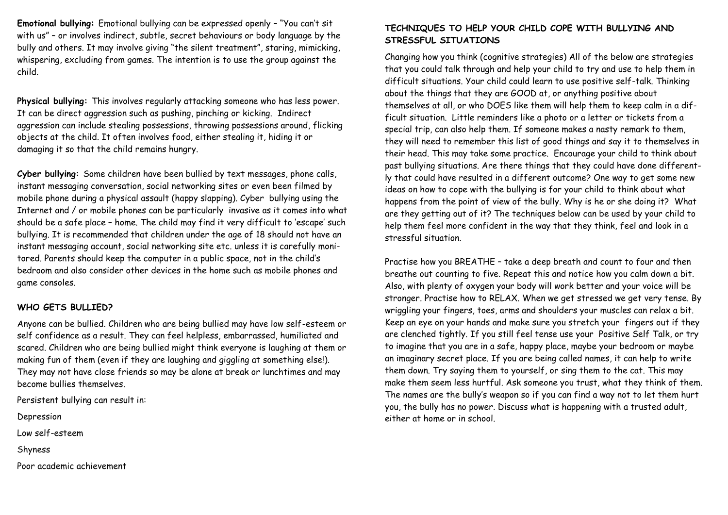**Emotional bullying:** Emotional bullying can be expressed openly – "You can't sit with us" – or involves indirect, subtle, secret behaviours or body language by the bully and others. It may involve giving "the silent treatment", staring, mimicking, whispering, excluding from games. The intention is to use the group against the child.

**Physical bullying:** This involves regularly attacking someone who has less power. It can be direct aggression such as pushing, pinching or kicking. Indirect aggression can include stealing possessions, throwing possessions around, flicking objects at the child. It often involves food, either stealing it, hiding it or damaging it so that the child remains hungry.

**Cyber bullying:** Some children have been bullied by text messages, phone calls, instant messaging conversation, social networking sites or even been filmed by mobile phone during a physical assault (happy slapping). Cyber bullying using the Internet and / or mobile phones can be particularly invasive as it comes into what should be a safe place – home. The child may find it very difficult to 'escape' such bullying. It is recommended that children under the age of 18 should not have an instant messaging account, social networking site etc. unless it is carefully monitored. Parents should keep the computer in a public space, not in the child's bedroom and also consider other devices in the home such as mobile phones and game consoles.

#### **WHO GETS BULLIED?**

Anyone can be bullied. Children who are being bullied may have low self-esteem or self confidence as a result. They can feel helpless, embarrassed, humiliated and scared. Children who are being bullied might think everyone is laughing at them or making fun of them (even if they are laughing and giggling at something else!). They may not have close friends so may be alone at break or lunchtimes and may become bullies themselves.

Persistent bullying can result in:

**Depression** 

Low self-esteem

Shyness

Poor academic achievement

## **TECHNIQUES TO HELP YOUR CHILD COPE WITH BULLYING AND STRESSFUL SITUATIONS**

Changing how you think (cognitive strategies) All of the below are strategies that you could talk through and help your child to try and use to help them in difficult situations. Your child could learn to use positive self-talk. Thinking about the things that they are GOOD at, or anything positive about themselves at all, or who DOES like them will help them to keep calm in a difficult situation. Little reminders like a photo or a letter or tickets from a special trip, can also help them. If someone makes a nasty remark to them, they will need to remember this list of good things and say it to themselves in their head. This may take some practice. Encourage your child to think about past bullying situations. Are there things that they could have done differently that could have resulted in a different outcome? One way to get some new ideas on how to cope with the bullying is for your child to think about what happens from the point of view of the bully. Why is he or she doing it? What are they getting out of it? The techniques below can be used by your child to help them feel more confident in the way that they think, feel and look in a stressful situation.

Practise how you BREATHE – take a deep breath and count to four and then breathe out counting to five. Repeat this and notice how you calm down a bit. Also, with plenty of oxygen your body will work better and your voice will be stronger. Practise how to RELAX. When we get stressed we get very tense. By wriggling your fingers, toes, arms and shoulders your muscles can relax a bit. Keep an eye on your hands and make sure you stretch your fingers out if they are clenched tightly. If you still feel tense use your Positive Self Talk, or try to imagine that you are in a safe, happy place, maybe your bedroom or maybe an imaginary secret place. If you are being called names, it can help to write them down. Try saying them to yourself, or sing them to the cat. This may make them seem less hurtful. Ask someone you trust, what they think of them. The names are the bully's weapon so if you can find a way not to let them hurt you, the bully has no power. Discuss what is happening with a trusted adult, either at home or in school.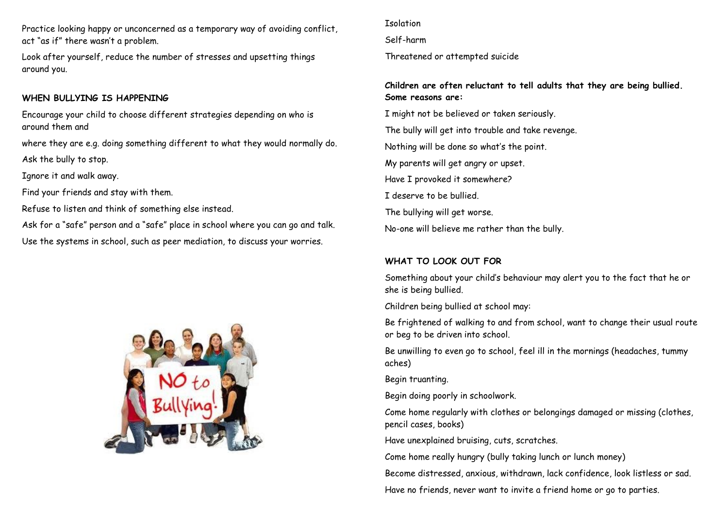Practice looking happy or unconcerned as a temporary way of avoiding conflict, act "as if" there wasn't a problem.

Look after yourself, reduce the number of stresses and upsetting things around you.

## **WHEN BULLYING IS HAPPENING**

Encourage your child to choose different strategies depending on who is around them and

where they are e.g. doing something different to what they would normally do. Ask the bully to stop.

Ignore it and walk away.

Find your friends and stay with them.

Refuse to listen and think of something else instead.

Ask for a "safe" person and a "safe" place in school where you can go and talk. Use the systems in school, such as peer mediation, to discuss your worries.



**Isolation** 

Self-harm

Threatened or attempted suicide

# **Children are often reluctant to tell adults that they are being bullied. Some reasons are:**

I might not be believed or taken seriously. The bully will get into trouble and take revenge. Nothing will be done so what's the point. My parents will get angry or upset. Have I provoked it somewhere? I deserve to be bullied. The bullying will get worse. No-one will believe me rather than the bully.

# **WHAT TO LOOK OUT FOR**

Something about your child's behaviour may alert you to the fact that he or she is being bullied.

Children being bullied at school may:

Be frightened of walking to and from school, want to change their usual route or beg to be driven into school.

Be unwilling to even go to school, feel ill in the mornings (headaches, tummy aches)

Begin truanting.

Begin doing poorly in schoolwork.

Come home regularly with clothes or belongings damaged or missing (clothes, pencil cases, books)

Have unexplained bruising, cuts, scratches.

Come home really hungry (bully taking lunch or lunch money)

Become distressed, anxious, withdrawn, lack confidence, look listless or sad.

Have no friends, never want to invite a friend home or go to parties.